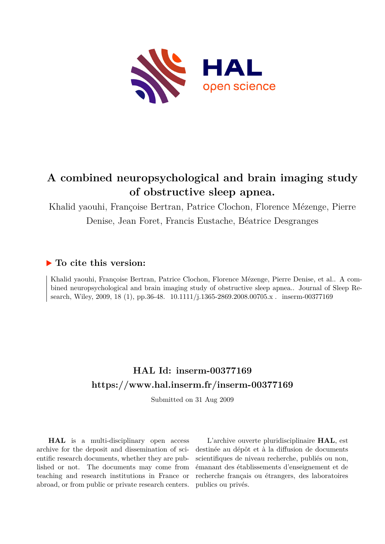

# **A combined neuropsychological and brain imaging study of obstructive sleep apnea.**

Khalid yaouhi, Françoise Bertran, Patrice Clochon, Florence Mézenge, Pierre Denise, Jean Foret, Francis Eustache, Béatrice Desgranges

### **To cite this version:**

Khalid yaouhi, Françoise Bertran, Patrice Clochon, Florence Mézenge, Pierre Denise, et al.. A combined neuropsychological and brain imaging study of obstructive sleep apnea.. Journal of Sleep Research, Wiley, 2009, 18 (1), pp.36-48.  $10.1111/j.1365-2869.2008.00705.x$ . inserm-00377169

# **HAL Id: inserm-00377169 <https://www.hal.inserm.fr/inserm-00377169>**

Submitted on 31 Aug 2009

**HAL** is a multi-disciplinary open access archive for the deposit and dissemination of scientific research documents, whether they are published or not. The documents may come from teaching and research institutions in France or abroad, or from public or private research centers.

L'archive ouverte pluridisciplinaire **HAL**, est destinée au dépôt et à la diffusion de documents scientifiques de niveau recherche, publiés ou non, émanant des établissements d'enseignement et de recherche français ou étrangers, des laboratoires publics ou privés.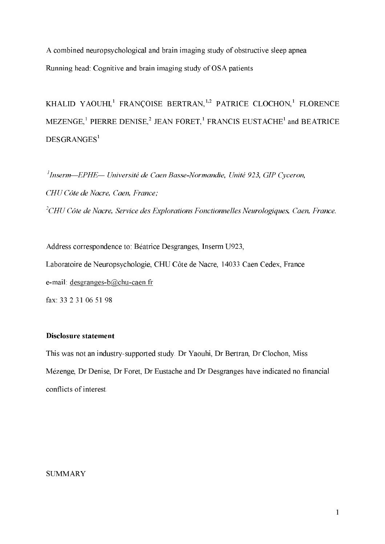A combined neuropsychological and brain imaging study of obstructive sleep apnea Running head:Cognitive and brain imaging study of OSA patients

KHALID YAOUHI,<sup>1</sup> FRANÇOISE BERTRAN,<sup>1,2</sup> PATRICE CLOCHON,<sup>1</sup> FLORENCE MEZENGE,<sup>1</sup> PIERRE DENISE,<sup>2</sup> JEAN FORET,<sup>1</sup> FRANCIS EUSTACHE<sup>1</sup> and BEATRICE DESGRANGES

 $\mu$ Inserm—EPHE— Université de Caen Basse-Normandie. Unité 923. GIP Cyceron. CHU Côte de Nacre, Caen, France:  $^2$ CHU Côte de Nacre, Service des Explorations Fonctionnelles Neurologiques, Caen, France.

Address correspondence to: Béatrice Desgranges, Inserm U923, Laboratoire de Neuropsychologie, CHU Côte de Nacre, 14033 Caen Cedex, France e-mail: desgranges- $b@$ chu-caen.fr fax: 33 2 31 06 51 98

#### Disclosure statement

This was not an industry-supported study. Dr Yaouhi, Dr Bertran, Dr Clochon, Miss Mézenge, Dr Denise, Dr Foret, Dr Eustache and Dr Desgranges have indicated no financial conflicts of interest.

### **SUMMARY**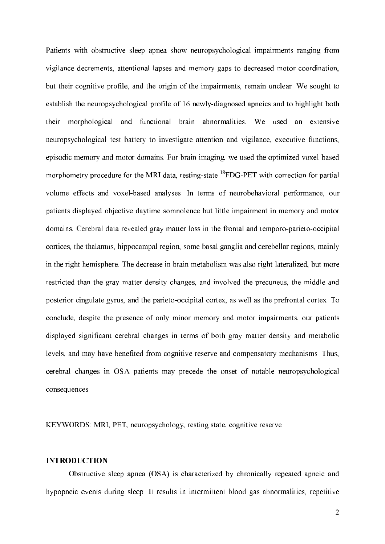Patients with obstructive sleep apnea show neuropsychological impairments ranging from vigilance decrements, attentional lapses and memory gaps to decreased motor coordination, but their cognitive profile, and the origin of the impairments, remain unclear. We sought to establish the neuropsychological profile of 16 newly-diagnosed apneics and to highlight both their morphological and functional brain abnormalities. We used an extensive neuropsychological test battery to investigate attention and vigilance, executive functions, episodic memory and motor domains. For brain imaging, we used the optimized voxel-based morphometry procedure for the MRI data, resting-state  $^{18}$ FDG-PET with correction for partial volume effects and voxel-based analyses. In terms of neurobehavioral performance, our patients displayed objective daytime somnolence but little impairment in memory and motor domains. Cerebral data revealed gray matter loss in the frontal and temporo-parieto-occipital cortices, the thalamus, hippocampal region, some basal ganglia and cerebellar regions, mainly in the right hemisphere. The decrease in brain metabolism was also right-lateralized, but more restricted than the gray matter density changes, and involved the precuneus, the middle and posterior cingulate gyrus, and the parieto-occipital cortex, as well as the prefrontal cortex. To conclude, despite the presence of only minor memory and motor impairments, our patients displayed significant cerebral changes in terms of both gray matter density and metabolic levels, and may have benefited from cognitive reserve and compensatory mechanisms. Thus, cerebral changes in OSA patients may precede the onset of notable neuropsychological consequences.

KEYWORDS: MRI, PET, neuropsychology, resting state, cognitive reserve

#### **INTRODUCTION**

Obstructive sleep apnea (OSA) is characterized by chronically repeated apneic and hypopneic events during sleep. It results in intermittent blood gas abnormalities, repetitive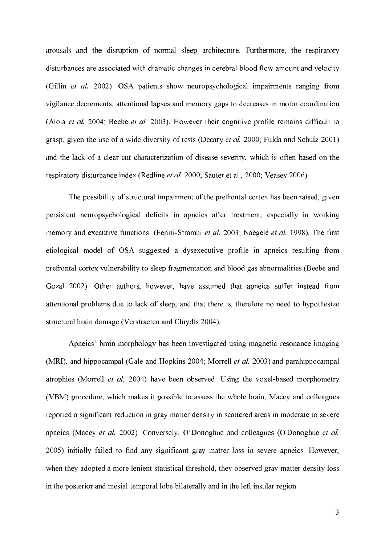arousals and the disruption of normal sleep architecture. Furthermore, the respiratory disturbances are associated with dramatic changes in cerebral blood flow amount and velocity (Gillin  $et$  al. 2002). OSA patients show neuropsychological impairments ranging from vigilance decrements, attentional lapses and memory gaps to decreases in motor coordination (Aloia *et al.* 2004; Beebe *et al.* 2003). However their cognitive profile remains difficult to grasp, given the use of a wide diversity of tests (Decary *et al.* 2000; Fulda and Schulz 2001) and the lack of a clear-cut characterization of disease severity, which is often based on the respiratory disturbance index (Redline *et al.* 2000; Sauter et al., 2000; Veasey 2006).

The possibility of structural impairment of the prefrontal cortex has been raised, given persistent neuropsychological deficits in apneics after treatment, especially in working memory and executive functions (Ferini-Strambi et al. 2003; Naëgelé et al. 1998). The first etiological model of OSA suggested a dysexecutive profile in apneics resulting from prefrontal cortex vulnerability to sleep fragmentation and blood gas abnormalities (Beebe and Gozal 2002). Other authors, however, have assumed that apneics suffer instead from attentional problems due to lack of sleep, and that there is, therefore no need to hypothesize structural brain damage (Verstraeten and Cluydts 2004).

Apneics' brain morphology has been investigated using magnetic resonance imaging (MRI), and hippocampal (Gale and Hopkins 2004; Morrell et al. 2003) and parahippocampal atrophies (Morrell *et al.* 2004) have been observed. Using the voxel-based morphometry (VBM) procedure, which makes it possible to assess the whole brain, Macey and colleagues reported a significant reduction in gray matter density in scattered areas in moderate to severe apneics (Macey et al. 2002). Conversely, O'Donoghue and colleagues (O'Donoghue et al. 2005) initially failed to find any significant gray matter loss in severe apneics. However, when they adopted a more lenient statistical threshold, they observed gray matter density loss in the posterior and mesial temporal lobe bilaterally and in the left insular region.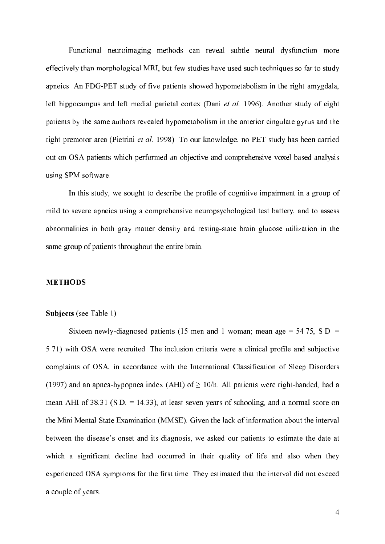Functional neuroimaging methods can reveal subtle neural dysfunction more effectively than morphological MRI, but few studies have used such techniques so far to study apneics. An FDG-PET study of five patients showed hypometabolism in the right amygdala, left hippocampus and left medial parietal cortex (Dani et al. 1996). Another study of eight patients by the same authors revealed hypometabolism in the anterior cingulate gyrus and the right premotor area (Pietrini *et al.* 1998). To our knowledge, no PET study has been carried out on OSA patients which performed an objective and comprehensive voxel-based analysis using SPM software.

In this study, we sought to describe the profile of cognitive impairment in a group of mild to severe apneics using a comprehensive neuropsychological test battery, and to assess abnormalities in both gray matter density and resting-state brain glucose utilization in the same group of patients throughout the entire brain.

#### **METHODS**

#### Subjects (see Table 1)

Sixteen newly-diagnosed patients (15 men and 1 woman; mean age =  $54.75$ , S.D. = 5.71) with OSA were recruited. The inclusion criteria were a clinical profile and subjective complaints of OSA, in accordance with the International Classification of Sleep Disorders (1997) and an apnea-hypopnea index (AHI) of  $\geq$  10/h. All patients were right-handed, had a mean AHI of  $38.31$  (S.D. = 14.33), at least seven years of schooling, and a normal score on the Mini Mental State Examination (MMSE). Given the lack of information about the interval between the disease's onset and its diagnosis, we asked our patients to estimate the date at which a significant decline had occurred in their quality of life and also when they experienced OSA symptoms for the first time. They estimated that the interval did not exceed a couple of years.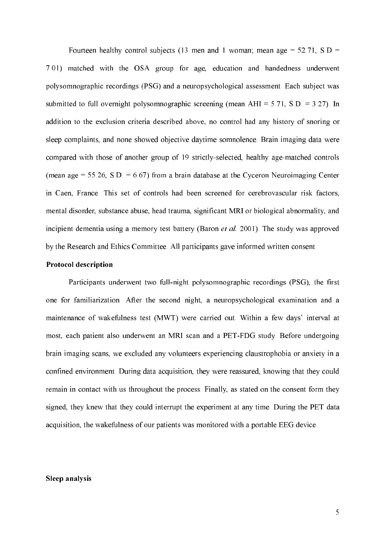Fourteen healthy control subjects (13 men and 1 woman; mean age =  $52.71$ , S.D = 7.01) matched with the OSA group for age, education and handedness underwent polysomnographic recordings (PSG) and a neuropsychological assessment. Each subject was submitted to full overnight polysomnographic screening (mean AHI =  $5.71$ , S.D. =  $3.27$ ). In addition to the exclusion criteria described above, no control had any history of snoring or sleep complaints, and none showed objective daytime somnolence. Brain imaging data were compared with those of another group of 19 strictly-selected, healthy age-matched controls (mean age = 55.26, S.D. = 6.67) from a brain database at the Cyceron Neuroimaging Center in Caen, France. This set of controls had been screened for cerebrovascular risk factors, mental disorder, substance abuse, head trauma, significant MRI or biological abnormality, and incipient dementia using a memory test battery (Baron  $et$   $al$ , 2001). The study was approved by the Research and Ethics Committee. All participants gave informed written consent.

#### **Protocol description**

Participants underwent two full-night polysomnographic recordings (PSG), the first one for familiarization. After the second night, a neuropsychological examination and a maintenance of wakefulness test (MWT) were carried out. Within a few days' interval at most, each patient also underwent an MRI scan and a PET-FDG study. Before undergoing brain imaging scans, we excluded any volunteers experiencing claustrophobia or anxiety in a confined environment. During data acquisition, they were reassured, knowing that they could remain in contact with us throughout the process. Finally, as stated on the consent form they signed, they knew that they could interrupt the experiment at any time. During the PET data acquisition, the wakefulness of our patients was monitored with a portable EEG device.

#### **Sleep analysis**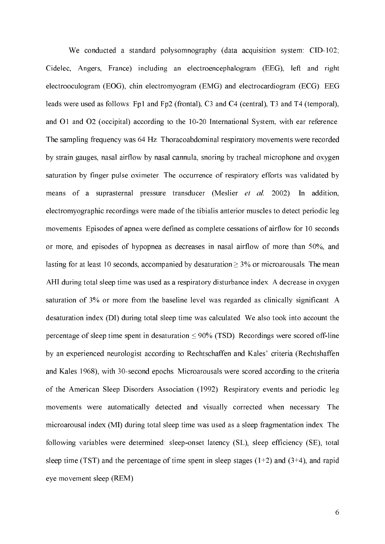We conducted a standard polysomnography (data acquisition system:  $CID-102$ ; Cidelec, Angers, France) including an electroencephalogram (EEG), left and right electrooculogram (EOG), chin electromyogram (EMG) and electrocardiogram (ECG). EEG leads were used as follows: Fp1 and Fp2 (frontal), C3 and C4 (central), T3 and T4 (temporal), and O1 and O2 (occipital) according to the 10-20 International System, with ear reference. The sampling frequency was 64 Hz. Thoracoabdominal respiratory movements were recorded by strain gauges, nasal airflow by nasal cannula, snoring by tracheal microphone and oxygen saturation by finger pulse oximeter. The occurrence of respiratory efforts was validated by means of a suprasternal pressure transducer (Meslier  $et$  al. 2002). In addition, electromyographic recordings were made of the tibialis anterior muscles to detect periodic leg movements. Episodes of apnea were defined as complete cessations of airflow for 10 seconds or more, and episodes of hypopnea as decreases in nasal airflow of more than 50%, and lasting for at least 10 seconds, accompanied by desaturation  $\geq$  3% or microarousals. The mean AHI during total sleep time was used as a respiratory disturbance index. A decrease in oxygen saturation of 3% or more from the baseline level was regarded as clinically significant. A desaturation index (DI) during total sleep time was calculated. We also took into account the percentage of sleep time spent in desaturation  $\leq 90\%$  (TSD). Recordings were scored off-line by an experienced neurologist according to Rechtschaffen and Kales' criteria (Rechtshaffen and Kales 1968), with 30-second epochs. Microarousals were scored according to the criteria of the American Sleep Disorders Association (1992). Respiratory events and periodic leg movements were automatically detected and visually corrected when necessary. The microarousal index (MI) during total sleep time was used as a sleep fragmentation index. The following variables were determined: sleep-onset latency (SL), sleep efficiency (SE), total sleep time (TST) and the percentage of time spent in sleep stages  $(1+2)$  and  $(3+4)$ , and rapid eye movement sleep (REM).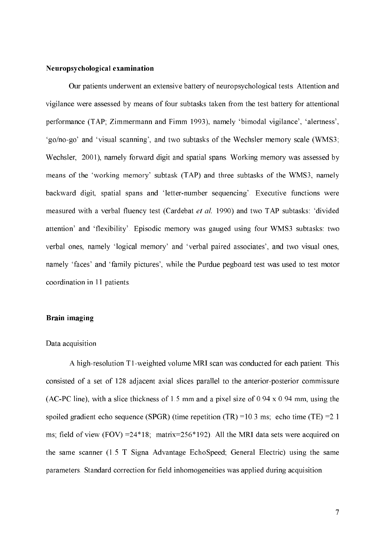#### Neuropsychological examination

 Our patients underwent an extensive battery of neuropsychological tests. Attention and vigilance were assessed by means of four subtasks taken from the test battery for attentional performance (TAP; Zimmermann and Fimm 1993), namely 'bimodal vigilance', 'alertness', 'go/no-go' and 'visual scanning', and two subtasks of the Wechsler memory scale (WMS3; Wechsler, 2001), namely forward digit and spatial spans. Working memory was assessed by means of the 'working memory' subtask (TAP) and three subtasks of the WMS3, namely backward digit, spatial spans and 'letter-number sequencing'. Executive functions were measured with a verbal fluency test (Cardebat et al. 1990) and two TAP subtasks: 'divided attention' and 'flexibility'. Episodic memory was gauged using four WMS3 subtasks: two verbal ones, namely 'logical memory' and 'verbal paired associates', and two visual ones, namely 'faces' and 'family pictures', while the Purdue pegboard test was used to test motor coordination in 11 patients.

#### **Brain imaging**

#### Data acquisition

A high-resolution T1-weighted volume MRI scan was conducted for each patient. This consisted of a set of 128 adjacent axial slices parallel to the anterior-posterior commissure (AC-PC line), with a slice thickness of 1.5 mm and a pixel size of 0.94 x 0.94 mm, using the spoiled gradient echo sequence (SPGR) (time repetition  $(TR) = 10.3$  ms; echo time  $(TE) = 2.1$ ms; field of view (FOV) =24\*18; matrix=256\*192). All the MRI data sets were acquired on the same scanner (1.5 T Signa Advantage EchoSpeed; General Electric) using the same parameters. Standard correction for field inhomogeneities was applied during acquisition.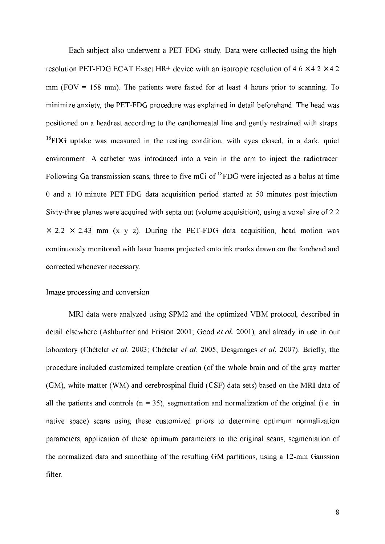Each subject also underwent a PET-FDG study. Data were collected using the highresolution PET-FDG ECAT Exact HR+ device with an isotropic resolution of  $4.6 \times 4.2 \times 4.2$ mm (FOV  $= 158$  mm). The patients were fasted for at least 4 hours prior to scanning. To minimize anxiety, the PET-FDG procedure was explained in detail beforehand. The head was positioned on a headrest according to the canthomeatal line and gently restrained with straps.  $^{18}$ FDG uptake was measured in the resting condition, with eyes closed, in a dark, quiet environment. A catheter was introduced into a vein in the arm to inject the radiotracer. Following Ga transmission scans, three to five mCi of  ${}^{18}$ FDG were injected as a bolus at time 0 and a 10-minute PET-FDG data acquisition period started at 50 minutes post-injection. Sixty-three planes were acquired with septa out (volume acquisition), using a voxel size of 2.2  $\times$  2.2  $\times$  2.43 mm (x y z). During the PET-FDG data acquisition, head motion was continuously monitored with laser beams projected onto ink marks drawn on the forehead and corrected whenever necessary.

#### Image processing and conversion

MRI data were analyzed using SPM2 and the optimized VBM protocol, described in detail elsewhere (Ashburner and Friston 2001; Good *et al.* 2001), and already in use in our laboratory (Chételat et al. 2003; Chételat et al. 2005; Desgranges et al. 2007). Briefly, the procedure included customized template creation (of the whole brain and of the gray matter (GM), white matter (WM) and cerebrospinal fluid (CSF) data sets) based on the MRI data of all the patients and controls ( $n = 35$ ), segmentation and normalization of the original (i.e. in native space) scans using these customized priors to determine optimum normalization parameters, application of these optimum parameters to the original scans, segmentation of the normalized data and smoothing of the resulting GM partitions, using a 12-mm Gaussian filter.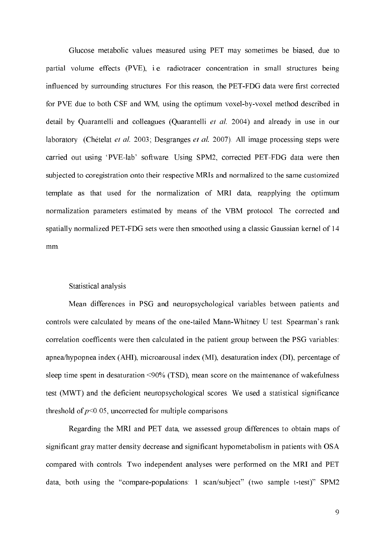Glucose metabolic values measured using PET may sometimes be biased, due to partial volume effects (PVE), i.e. radiotracer concentration in small structures being influenced by surrounding structures. For this reason, the PET-FDG data were first corrected for PVE due to both CSF and WM, using the optimum voxel-by-voxel method described in detail by Quarantelli and colleagues (Quarantelli *et al.* 2004) and already in use in our laboratory (Chételat *et al.* 2003; Desgranges *et al.* 2007). All image processing steps were carried out using 'PVE-lab' software. Using SPM2, corrected PET-FDG data were then subjected to coregistration onto their respective MRIs and normalized to the same customized template as that used for the normalization of MRI data, reapplying the optimum normalization parameters estimated by means of the VBM protocol. The corrected and spatially normalized PET-FDG sets were then smoothed using a classic Gaussian kernel of 14 mm.

#### Statistical analysis

Mean differences in PSG and neuropsychological variables between patients and controls were calculated by means of the one-tailed Mann-Whitney U test. Spearman's rank correlation coefficents were then calculated in the patient group between the PSG variables: apnea/hypopnea index (AHI), microarousal index (MI), desaturation index (DI), percentage of sleep time spent in desaturation <90% (TSD), mean score on the maintenance of wakefulness test (MWT) and the deficient neuropsychological scores. We used a statistical significance threshold of  $p<0.05$ , uncorrected for multiple comparisons.

Regarding the MRI and PET data, we assessed group differences to obtain maps of significant gray matter density decrease and significant hypometabolism in patients with OSA compared with controls. Two independent analyses were performed on the MRI and PET data, both using the "compare-populations: 1 scan/subject" (two sample t-test)" SPM2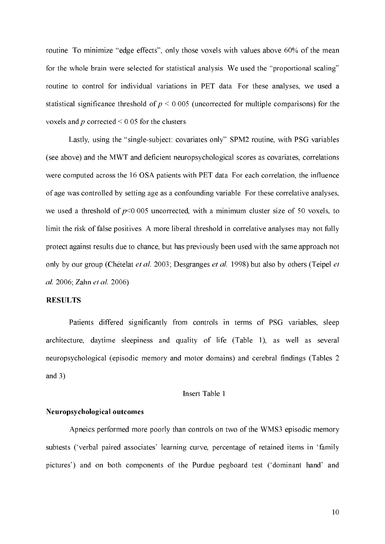routine. To minimize "edge effects", only those voxels with values above 60% of the mean for the whole brain were selected for statistical analysis. We used the "proportional scaling" routine to control for individual variations in PET data. For these analyses, we used a statistical significance threshold of  $p \le 0.005$  (uncorrected for multiple comparisons) for the voxels and  $p$  corrected  $\leq 0.05$  for the clusters.

Lastly, using the "single-subject: covariates only" SPM2 routine, with PSG variables (see above) and the MWT and deficient neuropsychological scores as covariates, correlations were computed across the 16 OSA patients with PET data. For each correlation, the influence of age was controlled by setting age as a confounding variable. For these correlative analyses, we used a threshold of  $p<0.005$  uncorrected, with a minimum cluster size of 50 voxels, to limit the risk of false positives. A more liberal threshold in correlative analyses may not fully protect against results due to chance, but has previously been used with the same approach not only by our group (Chételat et al. 2003; Desgranges et al. 1998) but also by others (Teipel et al. 2006; Zahn et al. 2006).

#### **RESULTS**

Patients differed significantly from controls in terms of PSG variables, sleep architecture, daytime sleepiness and quality of life (Table 1), as well as several neuropsychological (episodic memory and motor domains) and cerebral findings (Tables 2 and 3)

#### Insert Table 1

#### Neuropsychological outcomes

Apneics performed more poorly than controls on two of the WMS3 episodic memory subtests ('verbal paired associates' learning curve, percentage of retained items in 'family pictures') and on both components of the Purdue pegboard test ('dominant hand' and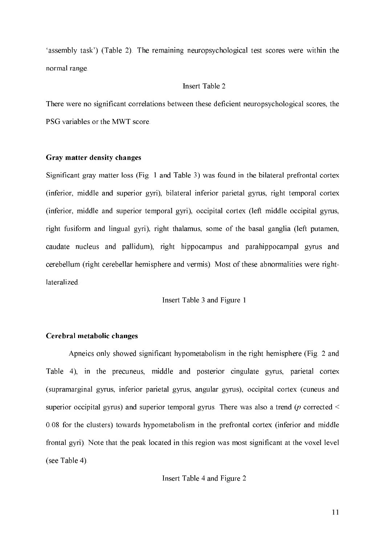'assembly task') (Table 2). The remaining neuropsychological test scores were within the normal range.

#### Insert Table 2

There were no significant correlations between these deficient neuropsychological scores, the PSG variables or the MWT score.

#### Gray matter density changes

Significant gray matter loss (Fig. 1 and Table 3) was found in the bilateral prefrontal cortex (inferior, middle and superior gyri), bilateral inferior parietal gyrus, right temporal cortex (inferior, middle and superior temporal gyri), occipital cortex (left middle occipital gyrus, right fusiform and lingual gyri), right thalamus, some of the basal ganglia (left putamen, caudate nucleus and pallidum), right hippocampus and parahippocampal gyrus and cerebellum (right cerebellar hemisphere and vermis). Most of these abnormalities were rightlateralized.

Insert Table 3 and Figure 1

#### Cerebral metabolic changes

Apneics only showed significant hypometabolism in the right hemisphere (Fig. 2 and Table 4), in the precuneus, middle and posterior cingulate gyrus, parietal cortex (supramarginal gyrus, inferior parietal gyrus, angular gyrus), occipital cortex (cuneus and superior occipital gyrus) and superior temporal gyrus. There was also a trend ( $p$  corrected  $\leq$ 0.08 for the clusters) towards hypometabolism in the prefrontal cortex (inferior and middle frontal gyri). Note that the peak located in this region was most significant at the voxel level (see Table 4).

Insert Table 4 and Figure 2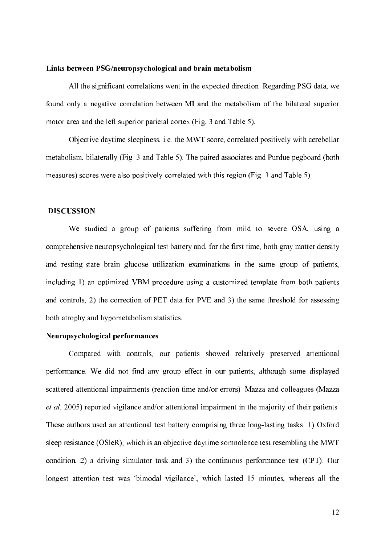#### Links between PSG/neuropsychological and brain metabolism

All the significant correlations went in the expected direction. Regarding PSG data, we found only a negative correlation between MI and the metabolism of the bilateral superior motor area and the left superior parietal cortex (Fig. 3 and Table 5).

Objective daytime sleepiness, i.e. the MWT score, correlated positively with cerebellar metabolism, bilaterally (Fig. 3 and Table 5). The paired associates and Purdue pegboard (both measures) scores were also positively correlated with this region (Fig. 3 and Table 5).

#### **DISCUSSION**

We studied a group of patients suffering from mild to severe OSA, using a comprehensive neuropsychological test battery and, for the first time, both gray matter density and resting-state brain glucose utilization examinations in the same group of patients, including 1) an optimized VBM procedure using a customized template from both patients and controls, 2) the correction of PET data for PVE and 3) the same threshold for assessing both atrophy and hypometabolism statistics.

#### Neuropsychological performances

Compared with controls, our patients showed relatively preserved attentional performance. We did not find any group effect in our patients, although some displayed scattered attentional impairments (reaction time and/or errors). Mazza and colleagues (Mazza et al. 2005) reported vigilance and/or attentional impairment in the majority of their patients. These authors used an attentional test battery comprising three long-lasting tasks: 1) Oxford sleep resistance (OSleR), which is an objective daytime somnolence test resembling the MWT condition, 2) a driving simulator task and 3) the continuous performance test (CPT). Our longest attention test was 'bimodal vigilance', which lasted 15 minutes, whereas all the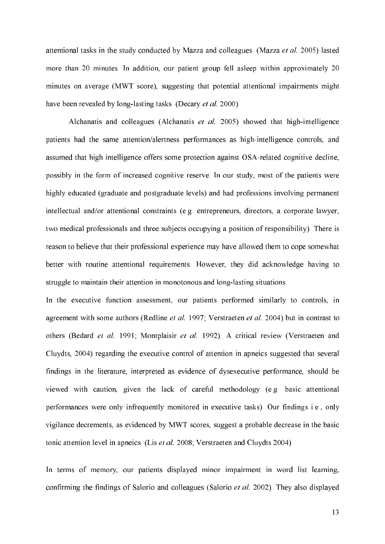attentional tasks in the study conducted by Mazza and colleagues (Mazza et al. 2005) lasted more than 20 minutes. In addition, our patient group fell asleep within approximately 20 minutes on average (MWT score), suggesting that potential attentional impairments might have been revealed by long-lasting tasks (Decary et al. 2000).

Alchanatis and colleagues (Alchanatis  $et$  al. 2005) showed that high-intelligence patients had the same attention/alertness performances as high-intelligence controls, and assumed that high intelligence offers some protection against OSA-related cognitive decline, possibly in the form of increased cognitive reserve. In our study, most of the patients were highly educated (graduate and postgraduate levels) and had professions involving permanent intellectual and/or attentional constraints (e.g. entrepreneurs, directors, a corporate lawyer, two medical professionals and three subjects occupying a position of responsibility). There is reason to believe that their professional experience may have allowed them to cope somewhat better with routine attentional requirements. However, they did acknowledge having to struggle to maintain their attention in monotonous and long-lasting situations.

In the executive function assessment, our patients performed similarly to controls, in agreement with some authors (Redline  $et$   $al.$  1997; Verstraeten  $et$   $al.$  2004) but in contrast to others (Bedard et al. 1991; Montplaisir et al. 1992). A critical review (Verstraeten and Cluydts, 2004) regarding the executive control of attention in apneics suggested that several findings in the literature, interpreted as evidence of dysexecutive performance, should be viewed with caution, given the lack of careful methodology (e.g. basic attentional performances were only infrequently monitored in executive tasks). Our findings i.e., only vigilance decrements, as evidenced by MWT scores, suggest a probable decrease in the basic tonic attention level in apneics (Lis et al. 2008; Verstraeten and Cluydts 2004).

In terms of memory, our patients displayed minor impairment in word list learning, confirming the findings of Salorio and colleagues (Salorio  $et$   $al$ . 2002). They also displayed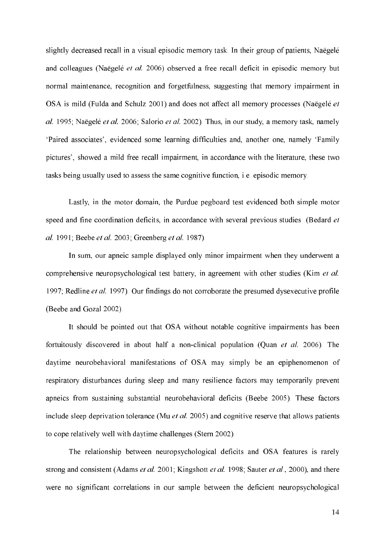slightly decreased recall in a visual episodic memory task. In their group of patients, Naëgelé and colleagues (Naëgelé et al. 2006) observed a free recall deficit in episodic memory but normal maintenance, recognition and forgetfulness, suggesting that memory impairment in OSA is mild (Fulda and Schulz 2001) and does not affect all memory processes (Naëgelé et  $al. 1995$ ; Naëgelé et al. 2006; Salorio et al. 2002). Thus, in our study, a memory task, namely 'Paired associates', evidenced some learning difficulties and, another one, namely 'Family pictures', showed a mild free recall impairment, in accordance with the literature, these two tasks being usually used to assess the same cognitive function, i.e. episodic memory.

Lastly, in the motor domain, the Purdue pegboard test evidenced both simple motor speed and fine coordination deficits, in accordance with several previous studies (Bedard et al. 1991; Beebe et al. 2003; Greenberg et al. 1987).

In sum, our apneic sample displayed only minor impairment when they underwent a comprehensive neuropsychological test battery, in agreement with other studies (Kim *et al.*) 1997; Redline et al. 1997). Our findings do not corroborate the presumed dysexecutive profile (Beebe and Gozal 2002).

It should be pointed out that OSA without notable cognitive impairments has been fortuitously discovered in about half a non-clinical population (Quan *et al.* 2006). The daytime neurobehavioral manifestations of OSA may simply be an epiphenomenon of respiratory disturbances during sleep and many resilience factors may temporarily prevent apneics from sustaining substantial neurobehavioral deficits (Beebe 2005). These factors include sleep deprivation tolerance (Mu  $et$  al. 2005) and cognitive reserve that allows patients to cope relatively well with daytime challenges (Stern 2002).

The relationship between neuropsychological deficits and OSA features is rarely strong and consistent (Adams  $et$   $al.$  2001; Kingshott  $et$   $al.$  1998; Sauter  $et$   $al.$  2000), and there were no significant correlations in our sample between the deficient neuropsychological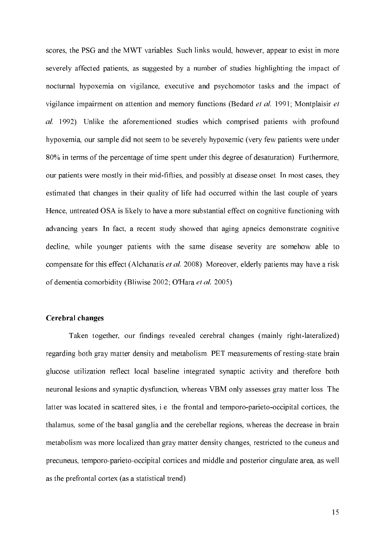scores, the PSG and the MWT variables. Such links would, however, appear to exist in more severely affected patients, as suggested by a number of studies highlighting the impact of nocturnal hypoxemia on vigilance, executive and psychomotor tasks and the impact of vigilance impairment on attention and memory functions (Bedard  $et$  al. 1991; Montplaisir  $et$ al. 1992). Unlike the aforementioned studies which comprised patients with profound hypoxemia, our sample did not seem to be severely hypoxemic (very few patients were under 80% in terms of the percentage of time spent under this degree of desaturation). Furthermore, our patients were mostly in their mid-fifties, and possibly at disease onset. In most cases, they estimated that changes in their quality of life had occurred within the last couple of years. Hence, untreated OSA is likely to have a more substantial effect on cognitive functioning with advancing years. In fact, a recent study showed that aging apneics demonstrate cognitive decline, while younger patients with the same disease severity are somehow able to compensate for this effect (Alchanatis et al. 2008). Moreover, elderly patients may have a risk of dementia comorbidity (Bliwise 2002; O'Hara et al. 2005).

#### Cerebral changes

Taken together, our findings revealed cerebral changes (mainly right-lateralized) regarding both gray matter density and metabolism. PET measurements of resting-state brain glucose utilization reflect local baseline integrated synaptic activity and therefore both neuronal lesions and synaptic dysfunction, whereas VBM only assesses gray matter loss. The latter was located in scattered sites, i.e. the frontal and temporo-parieto-occipital cortices, the thalamus, some of the basal ganglia and the cerebellar regions, whereas the decrease in brain metabolism was more localized than gray matter density changes, restricted to the cuneus and precuneus, temporo-parieto-occipital cortices and middle and posterior cingulate area, as well as the prefrontal cortex (as a statistical trend).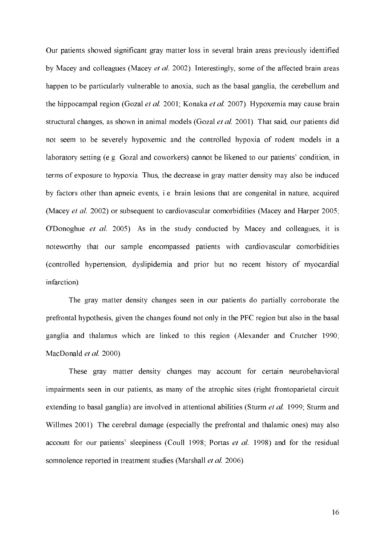Our patients showed significant gray matter loss in several brain areas previously identified by Macey and colleagues (Macey *et al.* 2002). Interestingly, some of the affected brain areas happen to be particularly vulnerable to anoxia, such as the basal ganglia, the cerebellum and the hippocampal region (Gozal et al. 2001; Konaka et al. 2007). Hypoxemia may cause brain structural changes, as shown in animal models (Gozal *et al.* 2001). That said, our patients did not seem to be severely hypoxemic and the controlled hypoxia of rodent models in a laboratory setting (e.g. Gozal and coworkers) cannot be likened to our patients' condition, in terms of exposure to hypoxia.Thus, the decrease in gray matter density may also be induced by factors other than apneic events, i.e. brain lesions that are congenital in nature, acquired (Macey et al. 2002) or subsequent to cardiovascular comorbidities (Macey and Harper 2005; O'Donoghue et al. 2005). As in the study conducted by Macey and colleagues, it is noteworthy that our sample encompassed patients with cardiovascular comorbidities (controlled hypertension, dyslipidemia and prior but no recent history of myocardial infarction).

The gray matter density changes seen in our patients do partially corroborate the prefrontal hypothesis, given the changes found not only in the PFC region but also in the basal ganglia and thalamus which are linked to this region (Alexander and Crutcher 1990; MacDonald *et al.* 2000).

These gray matter density changes may account for certain neurobehavioral impairments seen in our patients, as many of the atrophic sites (right frontoparietal circuit extending to basal ganglia) are involved in attentional abilities (Sturm et al. 1999; Sturm and Willmes 2001). The cerebral damage (especially the prefrontal and thalamic ones) may also account for our patients' sleepiness (Coull 1998; Portas *et al.* 1998) and for the residual somnolence reported in treatment studies (Marshall *et al.* 2006).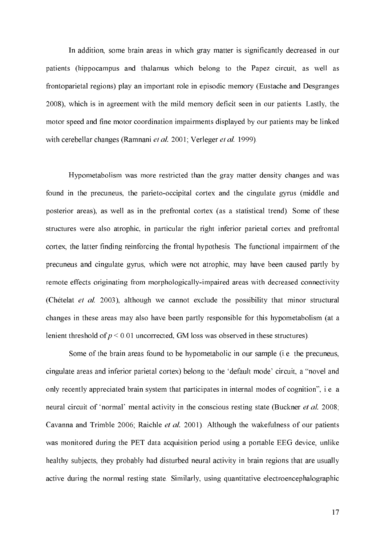In addition, some brain areas in which gray matter is significantly decreased in our patients (hippocampus and thalamus which belong to the Papez circuit, as well as frontoparietal regions) play an important role in episodic memory (Eustache and Desgranges 2008), which is in agreement with the mild memory deficit seen in our patients. Lastly, the motor speed and fine motor coordination impairments displayed by our patients may be linked with cerebellar changes (Ramnani *et al.* 2001; Verleger *et al.* 1999).

Hypometabolism was more restricted than the gray matter density changes and was found in the precuneus, the parieto-occipital cortex and the cingulate gyrus (middle and posterior areas), as well as in the prefrontal cortex (as a statistical trend). Some of these structures were also atrophic, in particular the right inferior parietal cortex and prefrontal cortex, the latter finding reinforcing the frontal hypothesis. The functional impairment of the precuneus and cingulate gyrus, which were not atrophic, may have been caused partly by remote effects originating from morphologically-impaired areas with decreased connectivity (Chételat et al. 2003), although we cannot exclude the possibility that minor structural changes in these areas may also have been partly responsible for this hypometabolism (at a lenient threshold of  $p \le 0.01$  uncorrected, GM loss was observed in these structures).

Some of the brain areas found to be hypometabolic in our sample (i.e. the precuneus, cingulate areas and inferior parietal cortex) belong to the 'default mode' circuit, a "novel and only recently appreciated brain system that participates in internal modes of cognition", i.e. a neural circuit of 'normal' mental activity in the conscious resting state (Buckner *et al.* 2008; Cavanna and Trimble 2006; Raichle et al. 2001). Although the wakefulness of our patients was monitored during the PET data acquisition period using a portable EEG device, unlike healthy subjects, they probably had disturbed neural activity in brain regions that are usually active during the normal resting state. Similarly, using quantitative electroencephalographic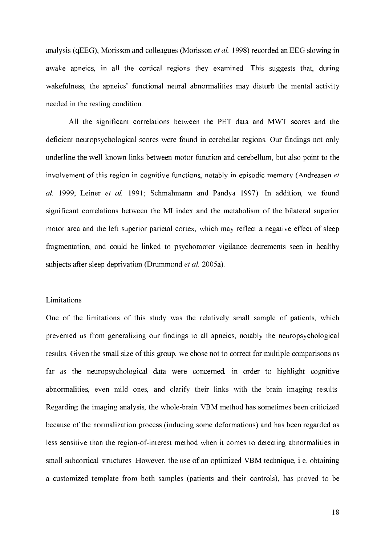analysis (qEEG), Morisson and colleagues (Morisson  $et$   $al$ . 1998) recorded an EEG slowing in awake apneics, in all the cortical regions they examined. This suggests that, during wakefulness, the apneics' functional neural abnormalities may disturb the mental activity needed in the resting condition.

All the significant correlations between the PET data and MWT scores and the deficient neuropsychological scores were found in cerebellar regions. Our findings not only underline the well-known links between motor function and cerebellum, but also point to the involvement of this region in cognitive functions, notably in episodic memory (Andreasen et al. 1999; Leiner et al. 1991; Schmahmann and Pandya 1997). In addition, we found significant correlations between the MI index and the metabolism of the bilateral superior motor area and the left superior parietal cortex, which may reflect a negative effect of sleep fragmentation, and could be linked to psychomotor vigilance decrements seen in healthy subjects after sleep deprivation (Drummond  $et$   $al. 2005a$ ).

#### Limitations

One of the limitations of this study was the relatively small sample of patients, which prevented us from generalizing our findings to all apneics, notably the neuropsychological results. Given the small size of this group, we chose not to correct for multiple comparisons as far as the neuropsychological data were concerned, in order to highlight cognitive abnormalities, even mild ones, and clarify their links with the brain imaging results. Regarding the imaging analysis, the whole-brain VBM method has sometimes been criticized because of the normalization process (inducing some deformations) and has been regarded as less sensitive than the region-of-interest method when it comes to detecting abnormalities in small subcortical structures. However, the use of an optimized VBM technique, i.e. obtaining a customized template from both samples (patients and their controls), has proved to be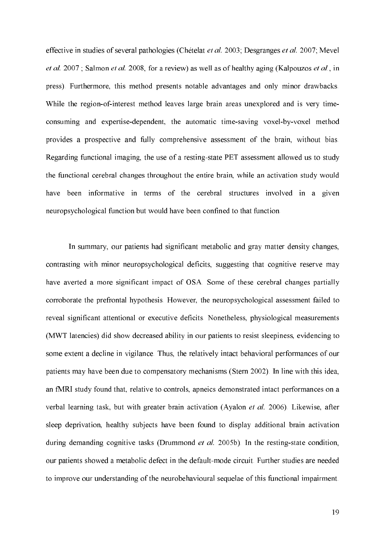effective in studies of several pathologies (Chételat *et al.* 2003; Desgranges *et al.* 2007; Mevel *et al.* 2007; Salmon *et al.* 2008, for a review) as well as of healthy aging (Kalpouzos *et al.*, in press). Furthermore, this method presents notable advantages and only minor drawbacks. While the region-of-interest method leaves large brain areas unexplored and is very timeconsuming and expertise-dependent, the automatic time-saving voxel-by-voxel method provides a prospective and fully comprehensive assessment of the brain, without bias. Regarding functional imaging, the use of a resting-state PET assessment allowed us to study the functional cerebral changes throughout the entire brain, while an activation study would have been informative in terms of the cerebral structures involved in a given neuropsychological function but would have been confined to that function.

In summary, our patients had significant metabolic and gray matter density changes, contrasting with minor neuropsychological deficits, suggesting that cognitive reserve may have averted a more significant impact of OSA. Some of these cerebral changes partially corroborate the prefrontal hypothesis. However, the neuropsychological assessment failed to reveal significant attentional or executive deficits. Nonetheless, physiological measurements (MWT latencies) did show decreased ability in our patients to resist sleepiness, evidencing to some extent a decline in vigilance. Thus, the relatively intact behavioral performances of our patients may have been due to compensatory mechanisms (Stern 2002). In line with this idea, an fMRI study found that, relative to controls, apneics demonstrated intact performances on a verbal learning task, but with greater brain activation (Ayalon et al. 2006). Likewise, after sleep deprivation, healthy subjects have been found to display additional brain activation during demanding cognitive tasks (Drummond  $et$   $al.$  2005b). In the resting-state condition, our patients showed a metabolic defect in the default-mode circuit. Further studies are needed to improve our understanding of the neurobehavioural sequelae of this functional impairment.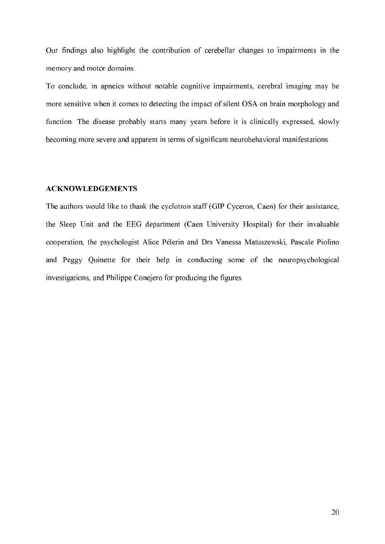Our findings also highlight the contribution of cerebellar changes to impairments in the memory and motor domains.

To conclude, in apneics without notable cognitive impairments, cerebral imaging may be more sensitive when it comes to detecting the impact of silent OSA on brain morphology and function. The disease probably starts many years before it is clinically expressed, slowly becoming more severe and apparent in terms of significant neurobehavioral manifestations.

#### ACKNOWLEDGEMENTS

The authors would like to thank the cyclotron staff (GIP Cyceron, Caen) for their assistance, the Sleep Unit and the EEG department (Caen University Hospital) for their invaluable cooperation, the psychologist Alice Pélerin and Drs Vanessa Matuszewski, Pascale Piolino and Peggy Quinette for their help in conducting some of the neuropsychological investigations, and Philippe Conejero for producing the figures.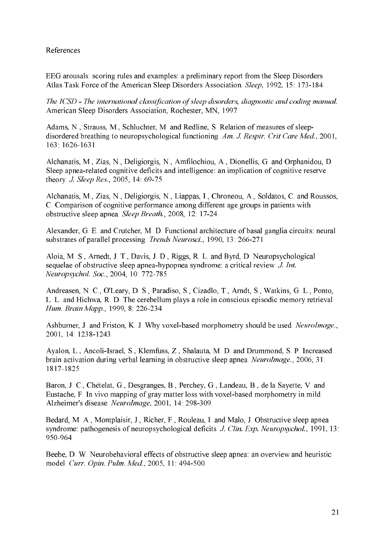### References

EEG arousals: scoring rules and examples: a preliminary report from the Sleep Disorders Atlas Task Force of the American Sleep Disorders Association. Sleep, 1992, 15: 173-184.

The ICSD - The international classification of sleep disorders, diagnostic and coding manual. American Sleep Disorders Association, Rochester, MN, 1997.

Adams, N., Strauss, M., Schluchter, M. and Redline, S. Relation of measures of sleepdisordered breathing to neuropsychological functioning. Am. J. Respir. Crit Care Med., 2001, 163 1626 1631

Alchanatis, M., Zias, N., Deligiorgis, N., Amfilochiou, A., Dionellis, G. and Orphanidou, D. Sleep apnea-related cognitive deficits and intelligence: an implication of cognitive reserve theory J. Sleep Res., 2005, 14: 69-75.

Alchanatis, M., Zias, N., Deligiorgis, N., Liappas, I., Chroneou, A., Soldatos, C. and Roussos, C. Comparison of cognitive performance among different age groups in patients with obstructive sleep apnea. Sleep Breath., 2008, 12: 17-24.

Alexander, G. E. and Crutcher, M. D. Functional architecture of basal ganglia circuits: neural substrates of parallel processing. Trends Neurosci., 1990, 13: 266-271.

Aloia, M. S., Arnedt, J. T., Davis, J. D., Riggs, R. L. and Byrd, D. Neuropsychological sequelae of obstructive sleep apnea-hypopnea syndrome: a critical review. J. Int. Neuropsychol. Soc., 2004, 10: 772-785.

Andreasen, N. C., O'Leary, D. S., Paradiso, S., Cizadlo, T., Arndt, S., Watkins, G. L., Ponto, L. L. and Hichwa, R. D. The cerebellum plays a role in conscious episodic memory retrieval. Hum. Brain Mapp., 1999, 8: 226-234.

Ashburner, J. and Friston, K. J. Why voxel-based morphometry should be used. NeuroImage., 2001, 14: 1238-1243.

Ayalon, L., Ancoli-Israel, S., Klemfuss, Z., Shalauta, M. D. and Drummond, S. P. Increased brain activation during verbal learning in obstructive sleep apnea. NeuroImage., 2006, 31: 1817-1825.

Baron, J. C., Chételat, G., Desgranges, B., Perchey, G., Landeau, B., de la Sayette, V. and Eustache, F. In vivo mapping of gray matter loss with voxel-based morphometry in mild Alzheimer's disease. NeuroImage, 2001, 14: 298-309.

Bedard, M. A., Montplaisir, J., Richer, F., Rouleau, I. and Malo, J. Obstructive sleep apnea syndrome: pathogenesis of neuropsychological deficits. J. Clin. Exp. Neuropsychol., 1991, 13: 950-964

Beebe, D. W. Neurobehavioral effects of obstructive sleep apnea: an overview and heuristic model. Curr. Opin. Pulm. Med., 2005, 11: 494-500.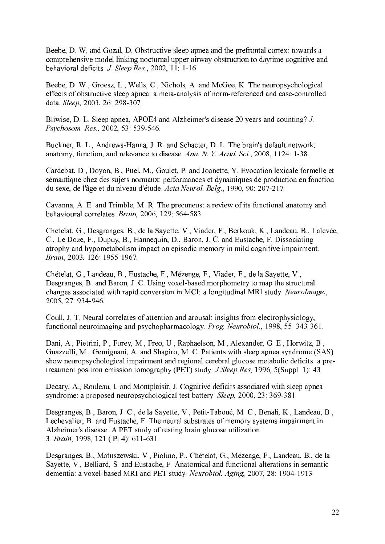Beebe, D. W. and Gozal, D. Obstructive sleep apnea and the prefrontal cortex: towards a comprehensive model linking nocturnal upper airway obstruction to daytime cognitive and behavioral deficits. J. Sleep Res., 2002, 11: 1-16.

Beebe, D. W., Groesz, L., Wells, C., Nichols, A. and McGee, K. The neuropsychological effects of obstructive sleep apnea: a meta-analysis of norm-referenced and case-controlled data. Sleep, 2003, 26: 298-307.

Bliwise, D. L. Sleep apnea, APOE4 and Alzheimer's disease 20 years and counting? J. Psychosom. Res., 2002, 53: 539-546.

Buckner, R. L., Andrews-Hanna, J. R. and Schacter, D. L. The brain's default network: anatomy, function, and relevance to disease. Ann. N. Y. Acad. Sci., 2008, 1124: 1-38.

Cardebat, D., Dovon, B., Puel, M., Goulet, P. and Joanette, Y. Evocation lexicale formelle et sémantique chez des sujets normaux: performances et dynamiques de production en fonction du sexe, de l'âge et du niveau d'étude. Acta Neurol. Belg., 1990, 90: 207-217.

Cavanna, A. E. and Trimble, M. R. The precuneus: a review of its functional anatomy and behavioural correlates. Brain, 2006, 129: 564-583.

Chételat, G., Desgranges, B., de la Savette, V., Viader, F., Berkouk, K., Landeau, B., Lalevée, C., Le Doze, F., Dupuy, B., Hannequin, D., Baron, J. C. and Eustache, F. Dissociating atrophy and hypometabolism impact on episodic memory in mild cognitive impairment. Brain, 2003, 126: 1955-1967.

Chételat, G., Landeau, B., Eustache, F., Mézenge, F., Viader, F., de la Sayette, V., Desgranges, B. and Baron, J. C. Using voxel-based morphometry to map the structural changes associated with rapid conversion in MCI: a longitudinal MRI study. NeuroImage., 2005, 27: 934-946.

Coull. J. T. Neural correlates of attention and arousal: insights from electrophysiology, functional neuroimaging and psychopharmacology. Prog. Neurobiol., 1998, 55: 343-361.

Dani, A., Pietrini, P., Furey, M., Freo, U., Raphaelson, M., Alexander, G. E., Horwitz, B., Guazzelli, M., Gemignani, A. and Shapiro, M. C. Patients with sleep apnea syndrome (SAS) show neuropsychological impairment and regional cerebral glucose metabolic deficits: a pretreatment positron emission tomography (PET) study. *J Sleep Res*, 1996, 5(Suppl. 1): 43.

Decary, A., Rouleau, I. and Montplaisir, J. Cognitive deficits associated with sleep apnea syndrome: a proposed neuropsychological test battery. Sleep, 2000, 23: 369-381.

Desgranges, B., Baron, J. C., de la Sayette, V., Petit-Taboué, M. C., Benali, K., Landeau, B., Lechevalier, B. and Eustache, F. The neural substrates of memory systems impairment in Alzheimer's disease. A PET study of resting brain glucose utilization 3. Brain, 1998, 121 (Pt 4): 611-631.

Desgranges, B., Matuszewski, V., Piolino, P., Chételat, G., Mézenge, F., Landeau, B., de la Savette, V., Belliard, S. and Eustache, F. Anatomical and functional alterations in semantic dementia: a voxel-based MRI and PET study. Neurobiol. Aging, 2007, 28: 1904-1913.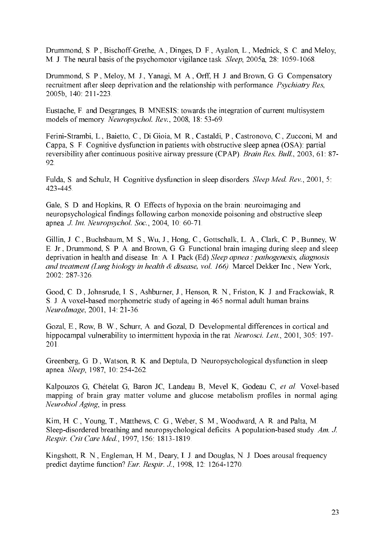Drummond, S. P., Bischoff-Grethe, A., Dinges, D. F., Ayalon, L., Mednick, S. C. and Meloy, M. J. The neural basis of the psychomotor vigilance task. Sleep, 2005a, 28: 1059-1068.

Drummond, S. P., Meloy, M. J., Yanagi, M. A., Orff, H. J. and Brown, G. G. Compensatory recruitment after sleep deprivation and the relationship with performance. Psychiatry Res. 2005b, 140: 211-223.

Eustache, F. and Desgranges, B. MNESIS: towards the integration of current multisystem models of memory *Neuropsychol. Rev.*, 2008, 18:53-69.

Ferini-Strambi, L., Baietto, C., Di Gioia, M. R., Castaldi, P., Castronovo, C., Zucconi, M. and Cappa, S. F. Cognitive dysfunction in patients with obstructive sleep apnea (OSA): partial reversibility after continuous positive airway pressure (CPAP). Brain Res. Bull., 2003, 61: 87-92.

Fulda, S. and Schulz, H. Cognitive dysfunction in sleep disorders. Sleep Med. Rev., 2001, 5: 423-445

Gale, S. D. and Hopkins, R. O. Effects of hypoxia on the brain: neuroimaging and neuropsychological findings following carbon monoxide poisoning and obstructive sleep apnea. *J. Int. Neuropsychol. Soc.*, 2004, 10: 60-71.

Gillin, J. C., Buchsbaum, M. S., Wu, J., Hong, C., Gottschalk, L. A., Clark, C. P., Bunney, W. E. Jr., Drummond, S. P. A. and Brown, G. G. Functional brain imaging during sleep and sleep deprivation in health and disease. In: A. I. Pack (Ed) Sleep apnea : pathogenesis, diagnosis and treatment (Lung biology in health & disease, vol. 166). Marcel Dekker Inc., New York, 2002 287-326.

Good, C. D., Johnsrude, I. S., Ashburner, J., Henson, R. N., Friston, K. J. and Frackowiak, R. S. J. A voxel-based morphometric study of ageing in 465 normal adult human brains. NeuroImage, 2001, 14: 21-36.

Gozal, E., Row, B. W., Schurr, A. and Gozal, D. Developmental differences in cortical and hippocampal vulnerability to intermittent hypoxia in the rat. Neurosci. Lett., 2001, 305: 197-201

Greenberg, G. D., Watson, R. K. and Deptula, D. Neuropsychological dysfunction in sleep apnea. Sleep, 1987, 10: 254-262.

Kalpouzos G, Chételat G, Baron JC, Landeau B, Mevel K, Godeau C, et al. Voxel-based mapping of brain gray matter volume and glucose metabolism profiles in normal aging. *Neurobiol Aging*, in press.

Kim, H. C., Young, T., Matthews, C. G., Weber, S. M., Woodward, A. R. and Palta, M. Sleep-disordered breathing and neuropsychological deficits. A population-based study, Am. J. Respir. Crit Care Med., 1997, 156: 1813-1819.

Kingshott, R. N., Engleman, H. M., Deary, I. J. and Douglas, N. J. Does arousal frequency predict daytime function? Eur. Respir. J., 1998, 12, 1264-1270.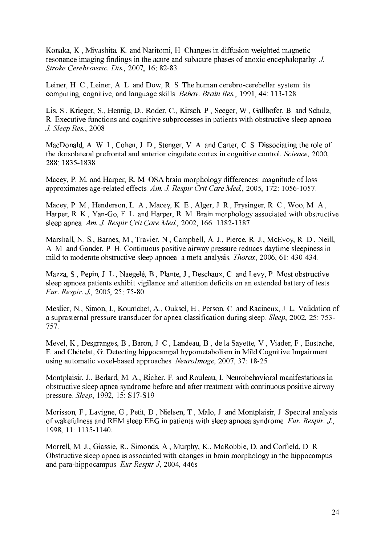Konaka, K., Miyashita, K. and Naritomi, H. Changes in diffusion-weighted magnetic resonance imaging findings in the acute and subacute phases of anoxic encephalopathy. J. Stroke Cerebrovasc. Dis., 2007, 16: 82-83.

Leiner, H. C., Leiner, A. L. and Dow, R. S. The human cerebro-cerebellar system: its computing, cognitive, and language skills. Behav. Brain Res., 1991, 44: 113-128.

Lis, S., Krieger, S., Hennig, D., Roder, C., Kirsch, P., Seeger, W., Gallhofer, B. and Schulz, R. Executive functions and cognitive subprocesses in patients with obstructive sleep apnoea. J. Sleep Res., 2008.

MacDonald, A. W. I., Cohen, J. D., Stenger, V. A. and Carter, C. S. Dissociating the role of the dorsolateral prefrontal and anterior cingulate cortex in cognitive control. Science, 2000, 288 1835-1838

Macey, P. M. and Harper, R. M. OSA brain morphology differences: magnitude of loss approximates age-related effects. Am. J. Respir Crit Care Med., 2005, 172: 1056-1057.

Macey, P. M., Henderson, L. A., Macey, K. E., Alger, J. R., Frysinger, R. C., Woo, M. A., Harper, R. K., Yan-Go, F. L. and Harper, R. M. Brain morphology associated with obstructive sleep apnea, Am. J. Respir Crit Care Med., 2002, 166: 1382-1387.

Marshall, N. S., Barnes, M., Travier, N., Campbell, A. J., Pierce, R. J., McEvoy, R. D., Neill, A. M. and Gander, P. H. Continuous positive airway pressure reduces daytime sleepiness in mild to moderate obstructive sleep apnoea: a meta-analysis. *Thorax*, 2006, 61: 430-434.

Mazza, S., Pepin, J. L., Naëgelé, B., Plante, J., Deschaux, C. and Levy, P. Most obstructive sleep apnoea patients exhibit vigilance and attention deficits on an extended battery of tests. Eur. Respir. J., 2005, 25: 75-80.

Meslier, N., Simon, I., Kouatchet, A., Ouksel, H., Person, C. and Racineux, J. L. Validation of a suprasternal pressure transducer for appea classification during sleep. *Sleep.* 2002, 25: 753-757.

Mevel, K., Desgranges, B., Baron, J. C., Landeau, B., de la Sayette, V., Viader, F., Eustache, F. and Chételat, G. Detecting hippocampal hypometabolism in Mild Cognitive Impairment using automatic voxel-based approaches. NeuroImage, 2007, 37: 18-25.

Montplaisir, J., Bedard, M. A., Richer, F. and Rouleau, I. Neurobehavioral manifestations in obstructive sleep apnea syndrome before and after treatment with continuous positive airway pressure Sleep, 1992, 15: S17-S19.

Morisson, F., Lavigne, G., Petit, D., Nielsen, T., Malo, J. and Montplaisir, J. Spectral analysis of wakefulness and REM sleep EEG in patients with sleep apnoea syndrome. Eur. Respir. J., 1998, 11: 1135-1140.

Morrell, M. J., Giassie, R., Simonds, A., Murphy, K., McRobbie, D. and Corfield, D. R. Obstructive sleep apnea is associated with changes in brain morphology in the hippocampus and para-hippocampus. Eur Respir J. 2004, 446s.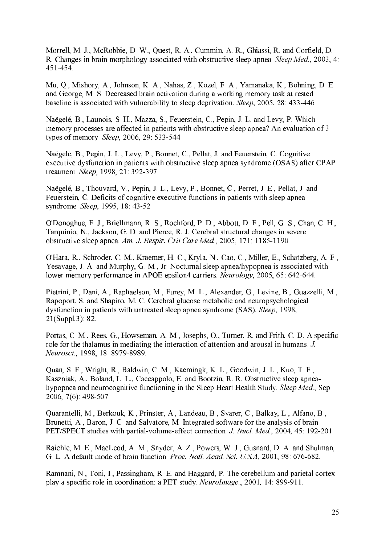Morrell, M. J., McRobbie, D. W., Quest, R. A., Cummin, A. R., Ghiassi, R. and Corfield, D. R. Changes in brain morphology associated with obstructive sleep apnea. Sleep Med., 2003, 4: 451-454.

Mu, O., Mishory, A., Johnson, K. A., Nahas, Z., Kozel, F. A., Yamanaka, K., Bohning, D. E. and George, M. S. Decreased brain activation during a working memory task at rested baseline is associated with vulnerability to sleep deprivation. Sleep, 2005, 28: 433-446.

Naëgelé, B., Launois, S. H., Mazza, S., Feuerstein, C., Pepin, J. L. and Levy, P. Which memory processes are affected in patients with obstructive sleep apnea? An evaluation of 3 types of memory. Sleep, 2006, 29: 533-544.

Naëgelé, B., Pepin, J. L., Levy, P., Bonnet, C., Pellat, J. and Feuerstein, C. Cognitive executive dysfunction in patients with obstructive sleep apnea syndrome (OSAS) after CPAP treatment. Sleep, 1998, 21:392-397.

Naëgelé, B., Thouvard, V., Pepin, J. L., Levy, P., Bonnet, C., Perret, J. E., Pellat, J. and Feuerstein, C. Deficits of cognitive executive functions in patients with sleep apnea syndrome. Sleep, 1995, 18: 43-52.

O'Donoghue, F. J., Briellmann, R. S., Rochford, P. D., Abbott, D. F., Pell, G. S., Chan, C. H., Tarquinio, N., Jackson, G. D. and Pierce, R. J. Cerebral structural changes in severe obstructive sleep apnea, Am. J. Respir. Crit Care Med., 2005, 171: 1185-1190.

O'Hara, R., Schroder, C. M., Kraemer, H. C., Kryla, N., Cao, C., Miller, E., Schatzberg, A. F., Yesavage, J. A. and Murphy, G. M., Jr. Nocturnal sleep apnea/hypopnea is associated with lower memory performance in APOE epsilon4 carriers. Neurology, 2005, 65: 642-644.

Pietrini, P., Dani, A., Raphaelson, M., Furey, M. L., Alexander, G., Levine, B., Guazzelli, M., Rapoport, S. and Shapiro, M. C. Cerebral glucose metabolic and neuropsychological dysfunction in patients with untreated sleep apnea syndrome (SAS). Sleep, 1998,  $21(Suppl.3): 82.$ 

Portas, C. M., Rees, G., Howseman, A. M., Josephs, O., Turner, R. and Frith, C. D. A specific role for the thalamus in mediating the interaction of attention and arousal in humans. J. Neurosci., 1998, 18: 8979-8989.

Quan, S. F., Wright, R., Baldwin, C. M., Kaemingk, K. L., Goodwin, J. L., Kuo, T. F., Kaszniak, A., Boland, L. L., Caccappolo, E. and Bootzin, R. R. Obstructive sleep apneahypopnea and neurocognitive functioning in the Sleep Heart Health Study. Sleep Med., Sep 2006,  $7(6)$ : 498-507.

Quarantelli, M., Berkouk, K., Prinster, A., Landeau, B., Svarer, C., Balkay, L., Alfano, B., Brunetti, A., Baron, J. C. and Salvatore, M. Integrated software for the analysis of brain PET/SPECT studies with partial-volume-effect correction. J. Nucl. Med., 2004, 45: 192-201.

Raichle, M. E., MacLeod, A. M., Snyder, A. Z., Powers, W. J., Gusnard, D. A. and Shulman, G. L. A default mode of brain function. *Proc. Natl. Acad. Sci. U.S.A.* 2001, 98: 676-682.

Ramnani, N., Toni, I., Passingham, R. E. and Haggard, P. The cerebellum and parietal cortex play a specific role in coordination: a PET study. NeuroImage., 2001, 14: 899-911.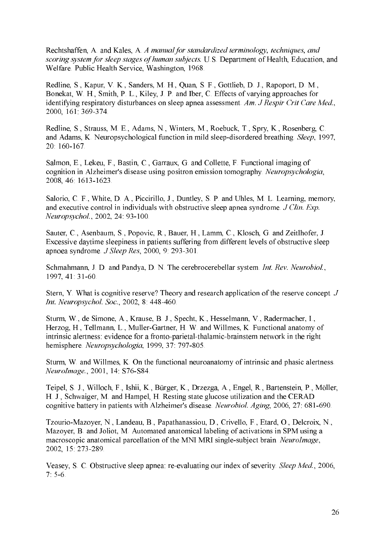Rechtshaffen, A. and Kales, A. A manual for standardized terminology, techniques, and scoring system for sleep stages of human subjects. U.S. Department of Health, Education, and Welfare. Public Health Service, Washington, 1968.

Redline, S., Kapur, V. K., Sanders, M. H., Quan, S. F., Gottlieb, D. J., Rapoport, D. M., Bonekat, W. H., Smith, P. L., Kiley, J. P. and Iber, C. Effects of varying approaches for identifying respiratory disturbances on sleep apnea assessment. Am. J Respir Crit Care Med., 2000, 161: 369-374.

Redline, S., Strauss, M. E., Adams, N., Winters, M., Roebuck, T., Spry, K., Rosenberg, C. and Adams, K. Neuropsychological function in mild sleep-disordered breathing. Sleep, 1997, 20:160-167

Salmon, E., Lekeu, F., Bastin, C., Garraux, G. and Collette, F. Functional imaging of cognition in Alzheimer's disease using positron emission tomography. Neuropsychologia, 2008, 46: 1613-1623.

Salorio, C. F., White, D. A., Piccirillo, J., Duntley, S. P. and Uhles, M. L. Learning, memory, and executive control in individuals with obstructive sleep apnea syndrome. J Clin. Exp. Neuropsychol., 2002, 24: 93-100.

Sauter, C., Asenbaum, S., Popovic, R., Bauer, H., Lamm, C., Klosch, G. and Zeitlhofer, J. Excessive daytime sleepiness in patients suffering from different levels of obstructive sleep apnoea syndrome. J Sleep Res, 2000, 9: 293-301.

Schmahmann, J. D. and Pandya, D. N. The cerebrocerebellar system. Int. Rev. Neurobiol., 1997, 41: 31-60.

Stern, Y. What is cognitive reserve? Theory and research application of the reserve concept. J Int. Neuropsychol. Soc., 2002, 8: 448-460.

Sturm, W., de Simone, A., Krause, B. J., Specht, K., Hesselmann, V., Radermacher, I., Herzog, H., Tellmann, L., Muller-Gartner, H. W. and Willmes, K. Functional anatomy of intrinsic alertness: evidence for a fronto-parietal-thalamic-brainstem network in the right hemisphere Neuropsychologia, 1999, 37: 797-805.

Sturm, W. and Willmes, K. On the functional neuroanatomy of intrinsic and phasic alertness. NeuroImage., 2001, 14: S76-S84.

Teipel, S. J., Willoch, F., Ishii, K., Bürger, K., Drzezga, A., Engel, R., Bartenstein, P., Möller, H. J., Schwaiger, M. and Hampel, H. Resting state glucose utilization and the CERAD cognitive battery in patients with Alzheimer's disease. Neurobiol. Aging, 2006, 27: 681-690.

Tzourio-Mazover, N., Landeau, B., Papathanassiou, D., Crivello, F., Etard, O., Delcroix, N., Mazoyer, B. and Joliot, M. Automated anatomical labeling of activations in SPM using a macroscopic anatomical parcellation of the MNI MRI single-subject brain. NeuroImage, 2002, 15: 273-289.

Veasey, S. C. Obstructive sleep appea: re-evaluating our index of severity. *Sleep Med.*, 2006.  $7.5-6.$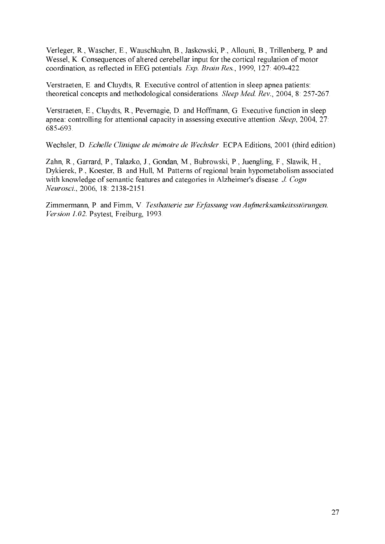Verleger, R., Wascher, E., Wauschkuhn, B., Jaskowski, P., Allouni, B., Trillenberg, P. and Wessel, K. Consequences of altered cerebellar input for the cortical regulation of motor coordination, as reflected in EEG potentials. Exp. Brain Res., 1999, 127: 409-422.

Verstraeten, E. and Cluvdts, R. Executive control of attention in sleep apnea patients: theoretical concepts and methodological considerations. Sleep Med. Rev., 2004, 8: 257-267.

Verstraeten, E., Cluvdts, R., Pevernagie, D. and Hoffmann, G. Executive function in sleep apnea: controlling for attentional capacity in assessing executive attention. Sleep, 2004, 27: 685-693

Wechsler, D. Echelle Clinique de mémoire de Wechsler. ECPA Editions, 2001 (third edition).

Zahn, R., Garrard, P., Talazko, J., Gondan, M., Bubrowski, P., Juengling, F., Slawik, H., Dykierek, P., Koester, B. and Hull, M. Patterns of regional brain hypometabolism associated with knowledge of semantic features and categories in Alzheimer's disease. J. Cogn Neurosci., 2006, 18: 2138-2151.

Zimmermann, P. and Fimm, V. Testbatterie zur Erfassung von Aufmerksamkeitsstörungen. Version 1.02. Psytest, Freiburg, 1993.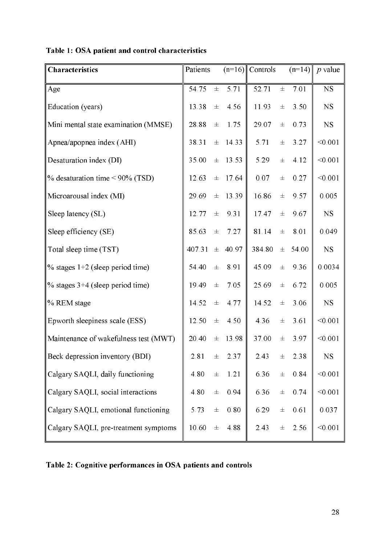| Characteristics                              | Patients |          |       | $(n=16)$ Controls |       |       | $(n=14)$ <i>p</i> value |
|----------------------------------------------|----------|----------|-------|-------------------|-------|-------|-------------------------|
| Age                                          | 54.75    | $\pm$    | 5.71  | 52.71             | $\pm$ | 7.01  | <b>NS</b>               |
| Education (years)                            | 13.38    | $\pm$    | 4.56  | 11.93             | $\pm$ | 3.50  | <b>NS</b>               |
| Mini mental state examination (MMSE)         | 28.88    | $\pm$    | 1.75  | 29.07             | $\pm$ | 0.73  | NS                      |
| Apnea/apopnea index (AHI)                    | 38.31    | $\pm$    | 14.33 | 5.71              | 士     | 3.27  | < 0.001                 |
| Desaturation index (DI)                      | 35.00    | $_{\pm}$ | 13.53 | 5.29              | 士     | 4.12  | < 0.001                 |
| $\%$ desaturation time < 90% (TSD)           | 12.63    | $\pm$    | 17.64 | 0.07              | $\pm$ | 0.27  | < 0.001                 |
| Microarousal index (MI)                      | 29.69    | $\pm$    | 13.39 | 16.86             | $\pm$ | 9.57  | 0.005                   |
| Sleep latency (SL)                           | 12.77    | $\pm$    | 9.31  | 17.47             | 士     | 9.67  | <b>NS</b>               |
| Sleep efficiency (SE)                        | 85.63    | $\pm$    | 7.27  | 81.14             | $\pm$ | 8.01  | 0.049                   |
| Total sleep time (TST)                       | 407.31   | 士        | 40.97 | 384.80            | 士     | 54.00 | <b>NS</b>               |
| $\frac{9}{6}$ stages 1+2 (sleep period time) | 54.40    | $\pm$    | 8.91  | 45.09             | $\pm$ | 9.36  | 0.0034                  |
| $\frac{9}{6}$ stages 3+4 (sleep period time) | 19.49    | $\pm$    | 7.05  | 25.69             | $\pm$ | 6.72  | 0.005                   |
| % REM stage                                  | 14.52    | $\pm$    | 4.77  | 14.52             | $\pm$ | 3.06  | NS                      |
| Epworth sleepiness scale (ESS)               | 12.50    | $\pm$    | 4.50  | 4.36              | $\pm$ | 3.61  | < 0.001                 |
| Maintenance of wakefulness test (MWT)        | 20.40    | $\pm$    | 13.98 | 37.00             | 士     | 3.97  | < 0.001                 |
| Beck depression inventory (BDI)              | 2.81     | $\pm$    | 2.37  | 2.43              | $\pm$ | 2.38  | <b>NS</b>               |
| Calgary SAQLI, daily functioning             | 4.80     | $\pm$    | 1.21  | 6.36              | $\pm$ | 0.84  | < 0.001                 |
| Calgary SAQLI, social interactions           | 4.80     | $\pm$    | 0.94  | 6.36              | $\pm$ | 0.74  | < 0.001                 |
| Calgary SAQLI, emotional functioning         | 5.73     | $\pm$    | 0.80  | 6.29              | $\pm$ | 0.61  | 0.037                   |
| Calgary SAQLI, pre-treatment symptoms        | 10.60    | $\pm$    | 4.88  | 2.43              | $\pm$ | 2.56  | < 0.001                 |

## Table 1: OSA patient and control characteristics

Table 2: Cognitive performances in OSA patients and controls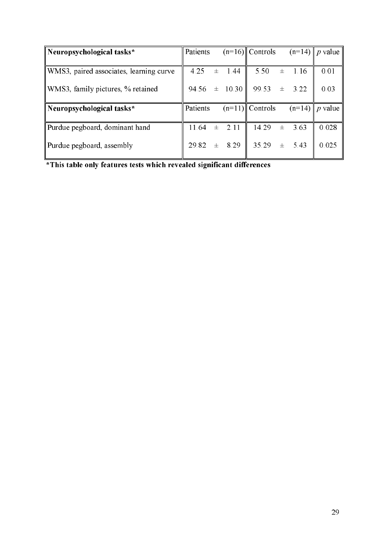| Neuropsychological tasks*               | Patients |       |             | $(n=16)$ Controls |       |          | $(n=14)$   p value |
|-----------------------------------------|----------|-------|-------------|-------------------|-------|----------|--------------------|
|                                         |          |       |             |                   |       |          |                    |
| WMS3, paired associates, learning curve | 4.25     |       | $\pm$ 1.44  | 5.50              | 士     | 1.16     | 0.01               |
| WMS3, family pictures, % retained       | 94.56    |       | $\pm$ 10.30 | 99.53             | $\pm$ | 3.22     | 0.03               |
| Neuropsychological tasks*               | Patients |       |             | $(n=11)$ Controls |       | $(n=14)$ | $p$ value          |
|                                         |          |       |             |                   |       |          |                    |
| Purdue pegboard, dominant hand          | 11.64    | $\pm$ | 2.11        | 14.29             | $\pm$ | 3.63     | 0.028              |
| Purdue pegboard, assembly               | 29.82    | $+$   | 8.29        | 35.29             | $+$   | 543      | 0.025              |

\*This table only features tests which revealed significant differences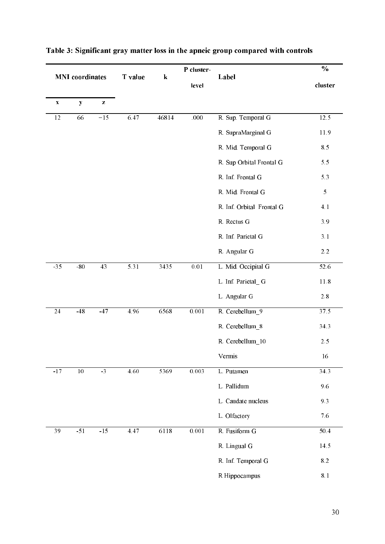| <b>MNI</b> coordinates    |                 | T value         | ${\bf k}$ | P cluster-<br>level | Label | $\frac{0}{0}$<br>cluster  |            |
|---------------------------|-----------------|-----------------|-----------|---------------------|-------|---------------------------|------------|
| $\boldsymbol{\mathrm{X}}$ | $\mathbf{y}$    | $\mathbf{Z}$    |           |                     |       |                           |            |
| $\overline{12}$           | 66              | $-15$           | 6.47      | 46814               | .000  | R. Sup. Temporal G        | 12.5       |
|                           |                 |                 |           |                     |       | R. SupraMarginal G        | 11.9       |
|                           |                 |                 |           |                     |       | R. Mid. Temporal G        | 8.5        |
|                           |                 |                 |           |                     |       | R. Sup Orbital Frontal G  | 5.5        |
|                           |                 |                 |           |                     |       | R. Inf. Frontal G         | 5.3        |
|                           |                 |                 |           |                     |       | R. Mid. Frontal G         | $\sqrt{5}$ |
|                           |                 |                 |           |                     |       | R. Inf. Orbital Frontal G | 4.1        |
|                           |                 |                 |           |                     |       | R. Rectus G               | 3.9        |
|                           |                 |                 |           |                     |       | R. Inf. Parietal G        | 3.1        |
|                           |                 |                 |           |                     |       | R. Angular G              | $2.2\,$    |
| $-35$                     | $-80$           | $\overline{43}$ | 5.31      | 3435                | 0.01  | L. Mid. Occipital G       | 52.6       |
|                           |                 |                 |           |                     |       | L. Inf. Parietal_G        | 11.8       |
|                           |                 |                 |           |                     |       | L. Angular G              | $2.8\,$    |
| $\overline{24}$           | $-48$           | $-47$           | 4.96      | 6568                | 0.001 | R. Cerebellum_9           | 37.5       |
|                           |                 |                 |           |                     |       | R. Cerebellum_8           | 34.3       |
|                           |                 |                 |           |                     |       | R. Cerebellum_10          | $2.5$      |
|                           |                 |                 |           |                     |       | Vermis                    | 16         |
| $-17$                     | $\overline{10}$ | $-3$            | 4.60      | 5369                | 0.003 | L. Putamen                | 34.3       |
|                           |                 |                 |           |                     |       | L. Pallidum               | 9.6        |
|                           |                 |                 |           |                     |       | L. Caudate nucleus        | 9.3        |
|                           |                 |                 |           |                     |       |                           | 7.6        |
|                           |                 |                 |           |                     |       | L. Olfactory              |            |
| 39                        | $-51$           | $-15$           | 4.47      | 6118                | 0.001 | R. Fusiform G             | 50.4       |
|                           |                 |                 |           |                     |       | R. Lingual G              | 14.5       |
|                           |                 |                 |           |                     |       | R. Inf. Temporal G        | 8.2        |
|                           |                 |                 |           |                     |       | R Hippocampus             | $8.1\,$    |

#### Table 3: Significant gray matter loss in the apneic group compared with controls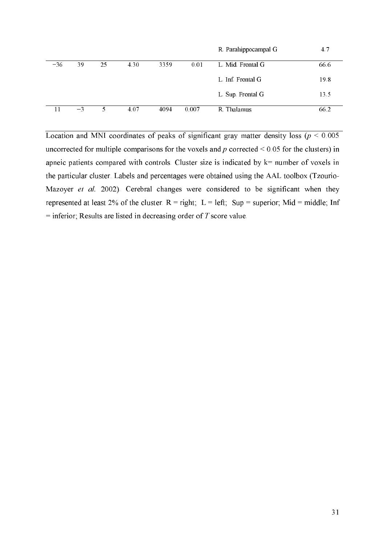|       |      |    |      |      |       | R. Parahippocampal G | 4.7  |
|-------|------|----|------|------|-------|----------------------|------|
| $-36$ | 39   | 25 | 4.30 | 3359 | 0.01  | L. Mid. Frontal G.   | 66.6 |
|       |      |    |      |      |       | L. Inf. Frontal G.   | 19.8 |
|       |      |    |      |      |       | L. Sup. Frontal G    | 13.5 |
|       | $-3$ | 5. | 4.07 | 4094 | 0.007 | R. Thalamus          | 66.2 |

Location and MNI coordinates of peaks of significant gray matter density loss ( $p < 0.005$ ) uncorrected for multiple comparisons for the voxels and p corrected  $\leq 0.05$  for the clusters) in apneic patients compared with controls. Cluster size is indicated by  $k$ = number of voxels in the particular cluster. Labels and percentages were obtained using the AAL toolbox (Tzourio-Mazoyer et al. 2002). Cerebral changes were considered to be significant when they represented at least 2% of the cluster.  $R = right$ ;  $L = left$ ; Sup = superior; Mid = middle; Inf = inferior; Results are listed in decreasing order of  $T$  score value.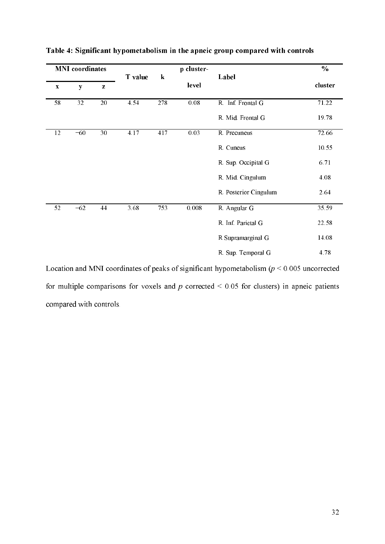| <b>MNI</b> coordinates    |       |           |         |         | $\frac{0}{0}$ |                       |         |
|---------------------------|-------|-----------|---------|---------|---------------|-----------------------|---------|
| $\boldsymbol{\mathrm{X}}$ | y     | ${\bf z}$ | T value | $\bf k$ | level         | Label                 | cluster |
| 58                        | 32    | 20        | 4.54    | 278     | $0.08\,$      | R. Inf. Frontal G     | 71.22   |
|                           |       |           |         |         |               | R. Mid. Frontal G     | 19.78   |
| 12                        | $-60$ | 30        | 4.17    | 417     | 0.03          | R. Precuneus          | 72.66   |
|                           |       |           |         |         |               | R. Cuneus             | 10.55   |
|                           |       |           |         |         |               | R. Sup. Occipital G   | 6.71    |
|                           |       |           |         |         |               | R. Mid. Cingulum      | 4.08    |
|                           |       |           |         |         |               | R. Posterior Cingulum | 2.64    |
| 52                        | $-62$ | 44        | 3.68    | 753     | 0.008         | R. Angular G          | 35.59   |
|                           |       |           |         |         |               | R. Inf. Parietal G    | 22.58   |
|                           |       |           |         |         |               | R Supramarginal G     | 14.08   |
|                           |       |           |         |         |               | R. Sup. Temporal G    | 4.78    |

Table 4: Significant hypometabolism in the apneic group compared with controls

Location and MNI coordinates of peaks of significant hypometabolism ( $p \le 0.005$  uncorrected for multiple comparisons for voxels and  $p$  corrected  $\leq 0.05$  for clusters) in apneic patients compared with controls.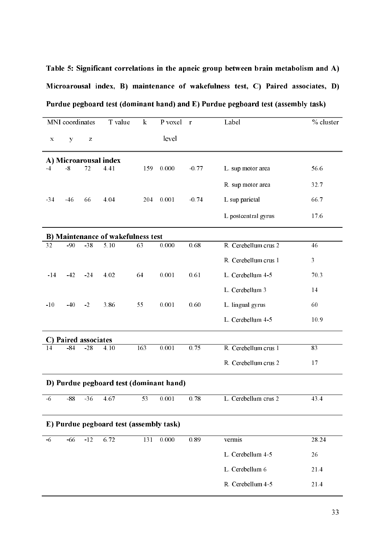Table 5: Significant correlations in the apneic group between brain metabolism and A) Microarousal index, B) maintenance of wakefulness test, C) Paired associates, D) Purdue pegboard test (dominant hand) and E) Purdue pegboard test (assembly task)

|                                         | MNI coordinates   |                                                                                                                                                                                                                                                                                                                                                                                                                                | T value                                   | $\mathbf{k}$     | P voxel | $\mathbf{r}$ | Label                | % cluster |  |  |
|-----------------------------------------|-------------------|--------------------------------------------------------------------------------------------------------------------------------------------------------------------------------------------------------------------------------------------------------------------------------------------------------------------------------------------------------------------------------------------------------------------------------|-------------------------------------------|------------------|---------|--------------|----------------------|-----------|--|--|
| $\mathbf X$                             | y                 | $\mathbf{Z}% _{0}=\mathbf{Z}_{0}=\mathbf{Z}_{0}=\mathbf{Z}_{0}=\mathbf{Z}_{0}=\mathbf{Z}_{0}=\mathbf{Z}_{0}=\mathbf{Z}_{0}=\mathbf{Z}_{0}=\mathbf{Z}_{0}=\mathbf{Z}_{0}=\mathbf{Z}_{0}=\mathbf{Z}_{0}=\mathbf{Z}_{0}=\mathbf{Z}_{0}=\mathbf{Z}_{0}=\mathbf{Z}_{0}=\mathbf{Z}_{0}=\mathbf{Z}_{0}=\mathbf{Z}_{0}=\mathbf{Z}_{0}=\mathbf{Z}_{0}=\mathbf{Z}_{0}=\mathbf{Z}_{0}=\mathbf{Z}_{0}=\mathbf{Z}_{0}=\mathbf{Z}_{0}=\math$ |                                           |                  | level   |              |                      |           |  |  |
|                                         |                   |                                                                                                                                                                                                                                                                                                                                                                                                                                |                                           |                  |         |              |                      |           |  |  |
| A) Microarousal index                   |                   |                                                                                                                                                                                                                                                                                                                                                                                                                                |                                           |                  |         |              |                      |           |  |  |
| -4                                      | $-8$              | 72                                                                                                                                                                                                                                                                                                                                                                                                                             | 4.41                                      | 159              | 0.000   | $-0.77$      | L. sup motor area    | 56.6      |  |  |
|                                         |                   |                                                                                                                                                                                                                                                                                                                                                                                                                                |                                           |                  |         |              | R. sup motor area    | 32.7      |  |  |
| $-34$                                   | $-46$             | 66                                                                                                                                                                                                                                                                                                                                                                                                                             | 4.04                                      | 204              | 0.001   | $-0.74$      | L sup parietal       | 66.7      |  |  |
|                                         |                   |                                                                                                                                                                                                                                                                                                                                                                                                                                |                                           |                  |         |              | L postcentral gyrus  | 17.6      |  |  |
|                                         |                   |                                                                                                                                                                                                                                                                                                                                                                                                                                | <b>B) Maintenance of wakefulness test</b> |                  |         |              |                      |           |  |  |
| 32                                      | $-90$             | $-38$                                                                                                                                                                                                                                                                                                                                                                                                                          | 5.10                                      | 63               | 0.000   | 0.68         | R. Cerebellum crus 2 | 46        |  |  |
|                                         |                   |                                                                                                                                                                                                                                                                                                                                                                                                                                |                                           |                  |         |              | R. Cerebellum crus 1 | 3         |  |  |
| $-14$                                   | $-42$             | $-24$                                                                                                                                                                                                                                                                                                                                                                                                                          | 4.02                                      | 64               | 0.001   | 0.61         | L. Cerebellum 4-5    | 70.3      |  |  |
|                                         |                   |                                                                                                                                                                                                                                                                                                                                                                                                                                |                                           |                  |         |              | L. Cerebellum 3      | 14        |  |  |
| $-10$                                   | $-40$             | $-2$                                                                                                                                                                                                                                                                                                                                                                                                                           | 3.86                                      | 55               | 0.001   | 0.60         | L. lingual gyrus     | 60        |  |  |
|                                         |                   |                                                                                                                                                                                                                                                                                                                                                                                                                                |                                           |                  |         |              | L. Cerebellum 4-5    | 10.9      |  |  |
|                                         | Paired associates |                                                                                                                                                                                                                                                                                                                                                                                                                                |                                           |                  |         |              |                      |           |  |  |
| 14                                      | $-84$             | $-28$                                                                                                                                                                                                                                                                                                                                                                                                                          | 4.10                                      | 163              | 0.001   | 0.75         | R. Cerebellum crus 1 | 83        |  |  |
|                                         |                   |                                                                                                                                                                                                                                                                                                                                                                                                                                |                                           |                  |         |              | R. Cerebellum crus 2 | 17        |  |  |
|                                         |                   |                                                                                                                                                                                                                                                                                                                                                                                                                                | D) Purdue pegboard test (dominant hand)   |                  |         |              |                      |           |  |  |
| $-6$                                    | $-88$             | $-36$                                                                                                                                                                                                                                                                                                                                                                                                                          | 4.67                                      | 53               | 0.001   | 0.78         | L. Cerebellum crus 2 | 43.4      |  |  |
| E) Purdue pegboard test (assembly task) |                   |                                                                                                                                                                                                                                                                                                                                                                                                                                |                                           |                  |         |              |                      |           |  |  |
|                                         |                   |                                                                                                                                                                                                                                                                                                                                                                                                                                |                                           |                  |         |              |                      |           |  |  |
| $-6$                                    | $-66$             | $-12$                                                                                                                                                                                                                                                                                                                                                                                                                          | 6.72                                      | $\overline{131}$ | 0.000   | 0.89         | vermis               | 28.24     |  |  |
|                                         |                   |                                                                                                                                                                                                                                                                                                                                                                                                                                |                                           |                  |         |              | L. Cerebellum 4-5    | 26        |  |  |
|                                         |                   |                                                                                                                                                                                                                                                                                                                                                                                                                                |                                           |                  |         |              | L. Cerebellum 6      | 21.4      |  |  |
|                                         |                   |                                                                                                                                                                                                                                                                                                                                                                                                                                |                                           |                  |         |              | R. Cerebellum 4-5    | 21.4      |  |  |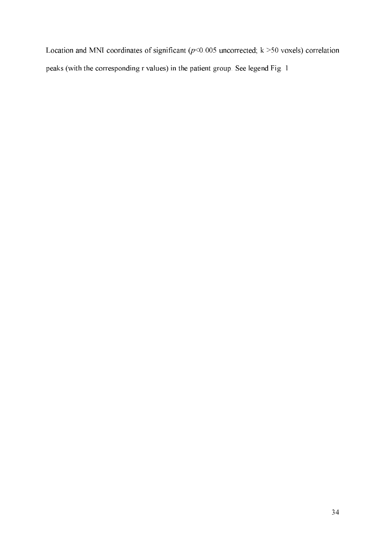Location and MNI coordinates of significant ( $p$ <0.005 uncorrected; k >50 voxels) correlation peaks (with the corresponding r values) in the patient group. See legend Fig. 1